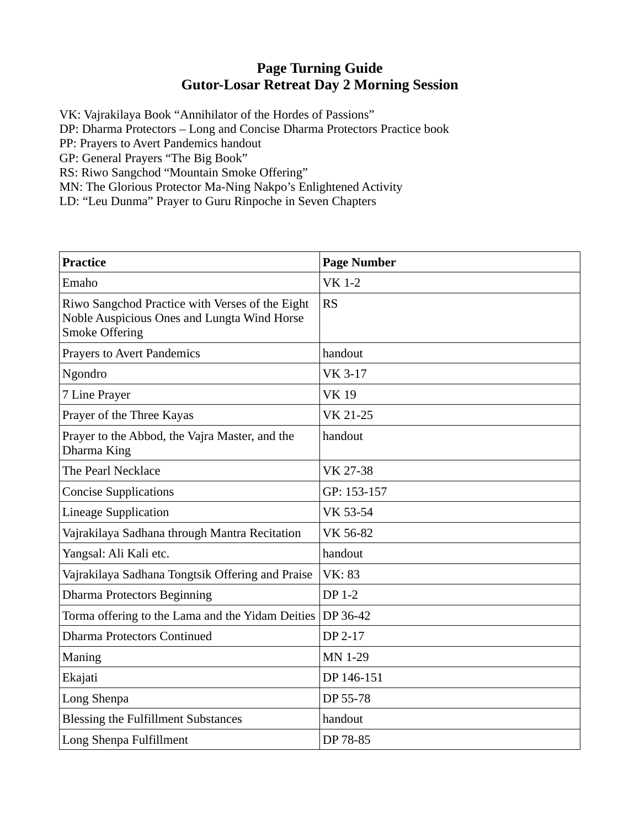## **Page Turning Guide Gutor-Losar Retreat Day 2 Morning Session**

VK: Vajrakilaya Book "Annihilator of the Hordes of Passions"

DP: Dharma Protectors – Long and Concise Dharma Protectors Practice book

PP: Prayers to Avert Pandemics handout

GP: General Prayers "The Big Book"

RS: Riwo Sangchod "Mountain Smoke Offering"

MN: The Glorious Protector Ma-Ning Nakpo's Enlightened Activity

LD: "Leu Dunma" Prayer to Guru Rinpoche in Seven Chapters

| <b>Practice</b>                                                                                                         | <b>Page Number</b> |
|-------------------------------------------------------------------------------------------------------------------------|--------------------|
| Emaho                                                                                                                   | <b>VK 1-2</b>      |
| Riwo Sangchod Practice with Verses of the Eight<br>Noble Auspicious Ones and Lungta Wind Horse<br><b>Smoke Offering</b> | <b>RS</b>          |
| <b>Prayers to Avert Pandemics</b>                                                                                       | handout            |
| Ngondro                                                                                                                 | <b>VK 3-17</b>     |
| 7 Line Prayer                                                                                                           | <b>VK19</b>        |
| Prayer of the Three Kayas                                                                                               | VK 21-25           |
| Prayer to the Abbod, the Vajra Master, and the<br>Dharma King                                                           | handout            |
| <b>The Pearl Necklace</b>                                                                                               | VK 27-38           |
| <b>Concise Supplications</b>                                                                                            | GP: 153-157        |
| <b>Lineage Supplication</b>                                                                                             | VK 53-54           |
| Vajrakilaya Sadhana through Mantra Recitation                                                                           | VK 56-82           |
| Yangsal: Ali Kali etc.                                                                                                  | handout            |
| Vajrakilaya Sadhana Tongtsik Offering and Praise                                                                        | <b>VK: 83</b>      |
| <b>Dharma Protectors Beginning</b>                                                                                      | <b>DP 1-2</b>      |
| Torma offering to the Lama and the Yidam Deities                                                                        | DP 36-42           |
| <b>Dharma Protectors Continued</b>                                                                                      | DP 2-17            |
| Maning                                                                                                                  | <b>MN 1-29</b>     |
| Ekajati                                                                                                                 | DP 146-151         |
| Long Shenpa                                                                                                             | DP 55-78           |
| <b>Blessing the Fulfillment Substances</b>                                                                              | handout            |
| Long Shenpa Fulfillment                                                                                                 | DP 78-85           |